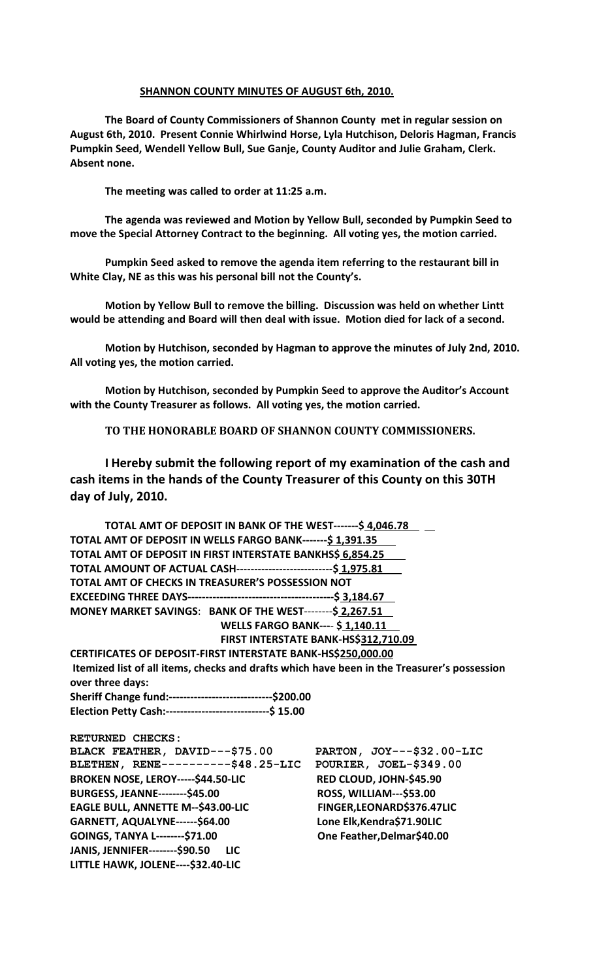## **SHANNON COUNTY MINUTES OF AUGUST 6th, 2010.**

**The Board of County Commissioners of Shannon County met in regular session on August 6th, 2010. Present Connie Whirlwind Horse, Lyla Hutchison, Deloris Hagman, Francis Pumpkin Seed, Wendell Yellow Bull, Sue Ganje, County Auditor and Julie Graham, Clerk. Absent none.**

**The meeting was called to order at 11:25 a.m.**

**The agenda was reviewed and Motion by Yellow Bull, seconded by Pumpkin Seed to move the Special Attorney Contract to the beginning. All voting yes, the motion carried.**

**Pumpkin Seed asked to remove the agenda item referring to the restaurant bill in White Clay, NE as this was his personal bill not the County's.**

**Motion by Yellow Bull to remove the billing. Discussion was held on whether Lintt would be attending and Board will then deal with issue. Motion died for lack of a second.**

**Motion by Hutchison, seconded by Hagman to approve the minutes of July 2nd, 2010. All voting yes, the motion carried.**

**Motion by Hutchison, seconded by Pumpkin Seed to approve the Auditor's Account with the County Treasurer as follows. All voting yes, the motion carried.**

**TO THE HONORABLE BOARD OF SHANNON COUNTY COMMISSIONERS.** 

**I Hereby submit the following report of my examination of the cash and cash items in the hands of the County Treasurer of this County on this 30TH day of July, 2010.**

| TOTAL AMT OF DEPOSIT IN BANK OF THE WEST-------\$ 4,046.78                                  |                                      |
|---------------------------------------------------------------------------------------------|--------------------------------------|
| TOTAL AMT OF DEPOSIT IN WELLS FARGO BANK-------\$ 1,391.35                                  |                                      |
| TOTAL AMT OF DEPOSIT IN FIRST INTERSTATE BANKHS\$ 6,854.25                                  |                                      |
| TOTAL AMOUNT OF ACTUAL CASH-----------------------------\$ 1,975.81                         |                                      |
| TOTAL AMT OF CHECKS IN TREASURER'S POSSESSION NOT                                           |                                      |
|                                                                                             |                                      |
| MONEY MARKET SAVINGS: BANK OF THE WEST--------\$ 2,267.51                                   |                                      |
| <b>WELLS FARGO BANK---- \$1,140.11</b>                                                      |                                      |
|                                                                                             | FIRST INTERSTATE BANK-HS\$312,710.09 |
| CERTIFICATES OF DEPOSIT-FIRST INTERSTATE BANK-HS\$250,000.00                                |                                      |
| Itemized list of all items, checks and drafts which have been in the Treasurer's possession |                                      |
| over three days:                                                                            |                                      |
| Sheriff Change fund:------------------------------\$200.00                                  |                                      |
| Election Petty Cash:------------------------------\$ 15.00                                  |                                      |
| RETURNED CHECKS:                                                                            |                                      |
| BLACK FEATHER, DAVID---\$75.00                                                              | PARTON, JOY---\$32.00-LIC            |
| BLETHEN, RENE----------\$48.25-LIC                                                          | POURIER, JOEL-\$349.00               |
| BROKEN NOSE, LEROY-----\$44.50-LIC                                                          | RED CLOUD, JOHN-\$45.90              |
| <b>BURGESS, JEANNE--------\$45.00</b>                                                       | <b>ROSS, WILLIAM---\$53.00</b>       |
| EAGLE BULL, ANNETTE M--\$43.00-LIC                                                          | FINGER, LEONARD\$376.47LIC           |
| GARNETT, AQUALYNE------\$64.00                                                              | Lone Elk, Kendra\$71.90LIC           |
| GOINGS, TANYA L--------\$71.00                                                              | One Feather, Delmar\$40.00           |
| <b>JANIS, JENNIFER--------\$90.50</b><br><b>LIC</b>                                         |                                      |
| LITTLE HAWK, JOLENE---- \$32.40-LIC                                                         |                                      |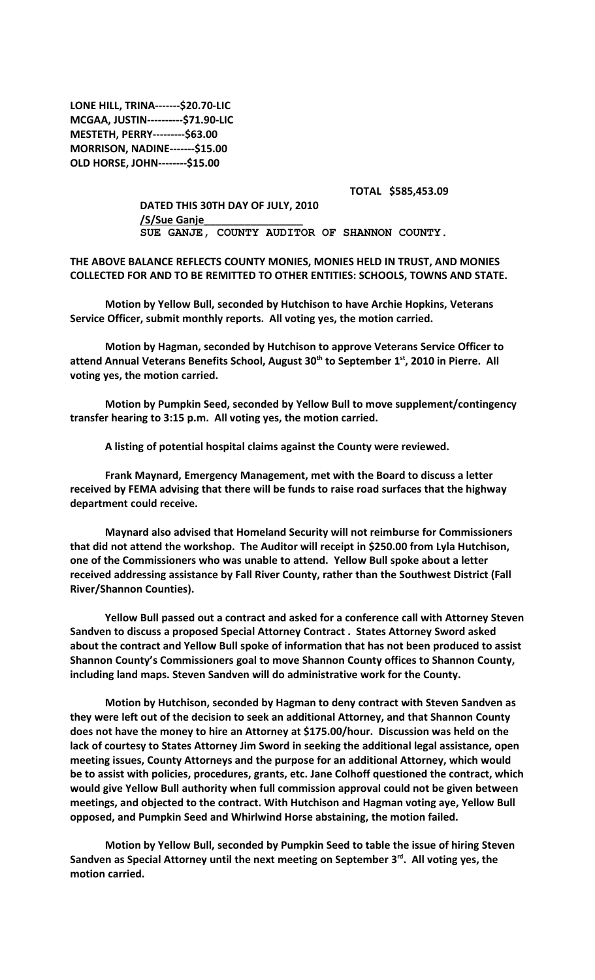**LONE HILL, TRINA-------\$20.70-LIC MCGAA, JUSTIN----------\$71.90-LIC MESTETH, PERRY---------\$63.00 MORRISON, NADINE-------\$15.00 OLD HORSE, JOHN--------\$15.00**

## **TOTAL \$585,453.09**

**DATED THIS 30TH DAY OF JULY, 2010 /S/Sue Ganje\_\_\_\_\_\_\_\_\_\_\_\_\_\_\_\_\_ SUE GANJE, COUNTY AUDITOR OF SHANNON COUNTY.**

**THE ABOVE BALANCE REFLECTS COUNTY MONIES, MONIES HELD IN TRUST, AND MONIES COLLECTED FOR AND TO BE REMITTED TO OTHER ENTITIES: SCHOOLS, TOWNS AND STATE.**

**Motion by Yellow Bull, seconded by Hutchison to have Archie Hopkins, Veterans Service Officer, submit monthly reports. All voting yes, the motion carried.**

**Motion by Hagman, seconded by Hutchison to approve Veterans Service Officer to attend Annual Veterans Benefits School, August 30th to September 1st, 2010 in Pierre. All voting yes, the motion carried.**

**Motion by Pumpkin Seed, seconded by Yellow Bull to move supplement/contingency transfer hearing to 3:15 p.m. All voting yes, the motion carried.**

**A listing of potential hospital claims against the County were reviewed.**

**Frank Maynard, Emergency Management, met with the Board to discuss a letter received by FEMA advising that there will be funds to raise road surfaces that the highway department could receive.** 

**Maynard also advised that Homeland Security will not reimburse for Commissioners that did not attend the workshop. The Auditor will receipt in \$250.00 from Lyla Hutchison, one of the Commissioners who was unable to attend. Yellow Bull spoke about a letter received addressing assistance by Fall River County, rather than the Southwest District (Fall River/Shannon Counties).**

**Yellow Bull passed out a contract and asked for a conference call with Attorney Steven Sandven to discuss a proposed Special Attorney Contract . States Attorney Sword asked about the contract and Yellow Bull spoke of information that has not been produced to assist Shannon County's Commissioners goal to move Shannon County offices to Shannon County, including land maps. Steven Sandven will do administrative work for the County.**

**Motion by Hutchison, seconded by Hagman to deny contract with Steven Sandven as they were left out of the decision to seek an additional Attorney, and that Shannon County does not have the money to hire an Attorney at \$175.00/hour. Discussion was held on the lack of courtesy to States Attorney Jim Sword in seeking the additional legal assistance, open meeting issues, County Attorneys and the purpose for an additional Attorney, which would be to assist with policies, procedures, grants, etc. Jane Colhoff questioned the contract, which would give Yellow Bull authority when full commission approval could not be given between meetings, and objected to the contract. With Hutchison and Hagman voting aye, Yellow Bull opposed, and Pumpkin Seed and Whirlwind Horse abstaining, the motion failed.**

**Motion by Yellow Bull, seconded by Pumpkin Seed to table the issue of hiring Steven Sandven as Special Attorney until the next meeting on September 3rd. All voting yes, the motion carried.**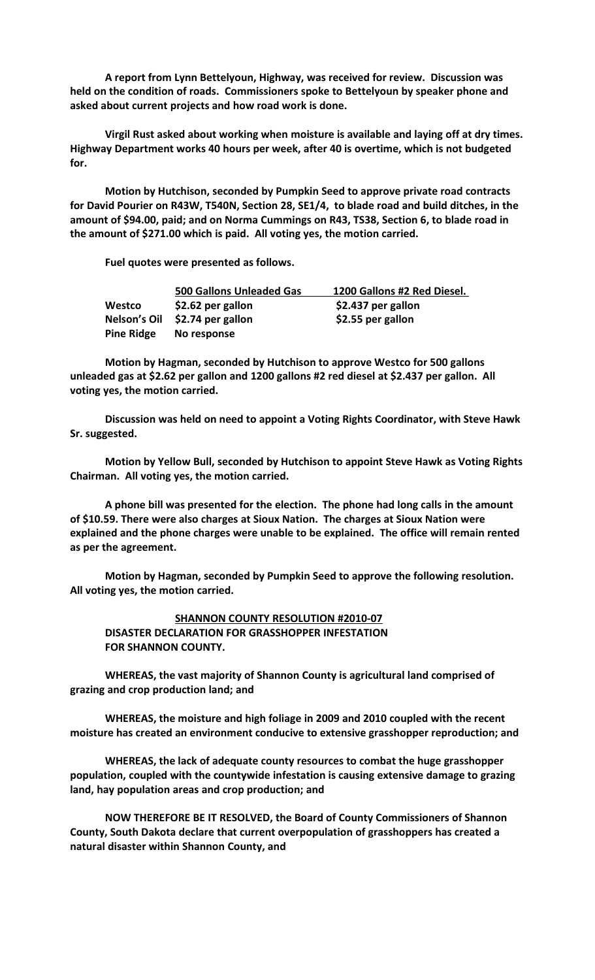**A report from Lynn Bettelyoun, Highway, was received for review. Discussion was held on the condition of roads. Commissioners spoke to Bettelyoun by speaker phone and asked about current projects and how road work is done.**

**Virgil Rust asked about working when moisture is available and laying off at dry times. Highway Department works 40 hours per week, after 40 is overtime, which is not budgeted for.**

**Motion by Hutchison, seconded by Pumpkin Seed to approve private road contracts for David Pourier on R43W, T540N, Section 28, SE1/4, to blade road and build ditches, in the amount of \$94.00, paid; and on Norma Cummings on R43, TS38, Section 6, to blade road in the amount of \$271.00 which is paid. All voting yes, the motion carried.**

**Fuel quotes were presented as follows.**

|                   | 500 Gallons Unleaded Gas       | 1200 Gallons #2 Red Diesel. |
|-------------------|--------------------------------|-----------------------------|
| Westco            | \$2.62 per gallon              | \$2.437 per gallon          |
|                   | Nelson's Oil \$2.74 per gallon | \$2.55 per gallon           |
| <b>Pine Ridge</b> | No response                    |                             |

**Motion by Hagman, seconded by Hutchison to approve Westco for 500 gallons unleaded gas at \$2.62 per gallon and 1200 gallons #2 red diesel at \$2.437 per gallon. All voting yes, the motion carried.**

**Discussion was held on need to appoint a Voting Rights Coordinator, with Steve Hawk Sr. suggested.**

**Motion by Yellow Bull, seconded by Hutchison to appoint Steve Hawk as Voting Rights Chairman. All voting yes, the motion carried.**

**A phone bill was presented for the election. The phone had long calls in the amount of \$10.59. There were also charges at Sioux Nation. The charges at Sioux Nation were explained and the phone charges were unable to be explained. The office will remain rented as per the agreement.**

**Motion by Hagman, seconded by Pumpkin Seed to approve the following resolution. All voting yes, the motion carried.**

**SHANNON COUNTY RESOLUTION #2010-07 DISASTER DECLARATION FOR GRASSHOPPER INFESTATION FOR SHANNON COUNTY.**

**WHEREAS, the vast majority of Shannon County is agricultural land comprised of grazing and crop production land; and**

**WHEREAS, the moisture and high foliage in 2009 and 2010 coupled with the recent moisture has created an environment conducive to extensive grasshopper reproduction; and**

**WHEREAS, the lack of adequate county resources to combat the huge grasshopper population, coupled with the countywide infestation is causing extensive damage to grazing land, hay population areas and crop production; and**

**NOW THEREFORE BE IT RESOLVED, the Board of County Commissioners of Shannon County, South Dakota declare that current overpopulation of grasshoppers has created a natural disaster within Shannon County, and**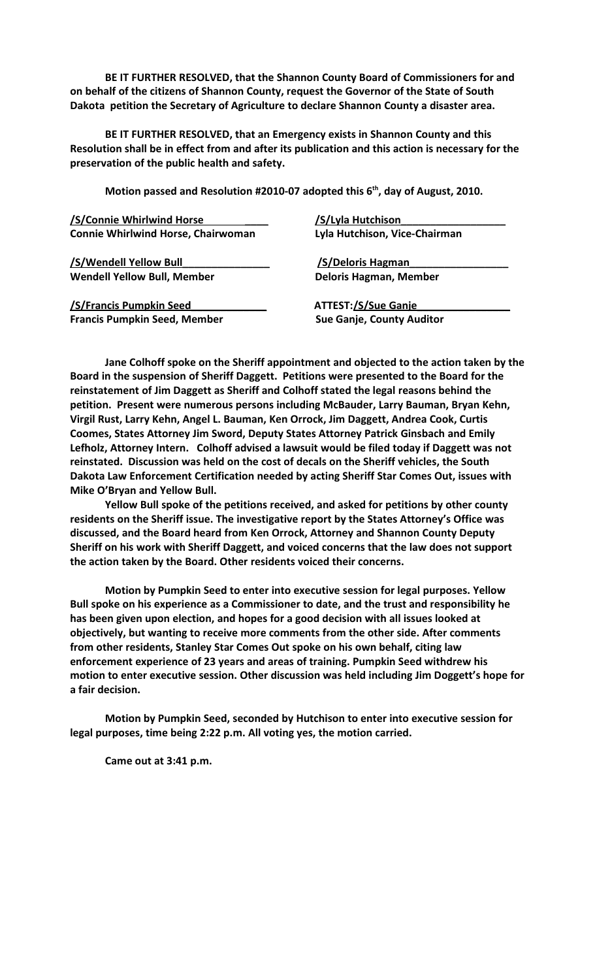**BE IT FURTHER RESOLVED, that the Shannon County Board of Commissioners for and on behalf of the citizens of Shannon County, request the Governor of the State of South Dakota petition the Secretary of Agriculture to declare Shannon County a disaster area.**

**BE IT FURTHER RESOLVED, that an Emergency exists in Shannon County and this Resolution shall be in effect from and after its publication and this action is necessary for the preservation of the public health and safety.**

**Motion passed and Resolution #2010-07 adopted this 6th, day of August, 2010.**

 **/S/Connie Whirlwind Horse \_\_\_\_ /S/Lyla Hutchison\_\_\_\_\_\_\_\_\_\_\_\_\_\_\_\_\_\_ Connie Whirlwind Horse, Chairwoman Lyla Hutchison, Vice-Chairman**

**/S/Wendell Yellow Bull\_\_\_\_\_\_\_\_\_\_\_\_\_\_\_ /S/Deloris Hagman\_\_\_\_\_\_\_\_\_\_\_\_\_\_\_\_\_** Wendell Yellow Bull, Member **Deloris Hagman, Member** 

**/S/Francis Pumpkin Seed\_\_\_\_\_\_\_\_\_\_\_\_\_ ATTEST:/S/Sue Ganje\_\_\_\_\_\_\_\_\_\_\_\_\_\_\_\_ Francis Pumpkin Seed, Member Sue Ganje, County Auditor** 

**Jane Colhoff spoke on the Sheriff appointment and objected to the action taken by the Board in the suspension of Sheriff Daggett. Petitions were presented to the Board for the reinstatement of Jim Daggett as Sheriff and Colhoff stated the legal reasons behind the petition. Present were numerous persons including McBauder, Larry Bauman, Bryan Kehn, Virgil Rust, Larry Kehn, Angel L. Bauman, Ken Orrock, Jim Daggett, Andrea Cook, Curtis Coomes, States Attorney Jim Sword, Deputy States Attorney Patrick Ginsbach and Emily Lefholz, Attorney Intern. Colhoff advised a lawsuit would be filed today if Daggett was not reinstated. Discussion was held on the cost of decals on the Sheriff vehicles, the South Dakota Law Enforcement Certification needed by acting Sheriff Star Comes Out, issues with Mike O'Bryan and Yellow Bull.** 

**Yellow Bull spoke of the petitions received, and asked for petitions by other county residents on the Sheriff issue. The investigative report by the States Attorney's Office was discussed, and the Board heard from Ken Orrock, Attorney and Shannon County Deputy Sheriff on his work with Sheriff Daggett, and voiced concerns that the law does not support the action taken by the Board. Other residents voiced their concerns.**

**Motion by Pumpkin Seed to enter into executive session for legal purposes. Yellow Bull spoke on his experience as a Commissioner to date, and the trust and responsibility he has been given upon election, and hopes for a good decision with all issues looked at objectively, but wanting to receive more comments from the other side. After comments from other residents, Stanley Star Comes Out spoke on his own behalf, citing law enforcement experience of 23 years and areas of training. Pumpkin Seed withdrew his motion to enter executive session. Other discussion was held including Jim Doggett's hope for a fair decision.**

**Motion by Pumpkin Seed, seconded by Hutchison to enter into executive session for legal purposes, time being 2:22 p.m. All voting yes, the motion carried.** 

**Came out at 3:41 p.m.**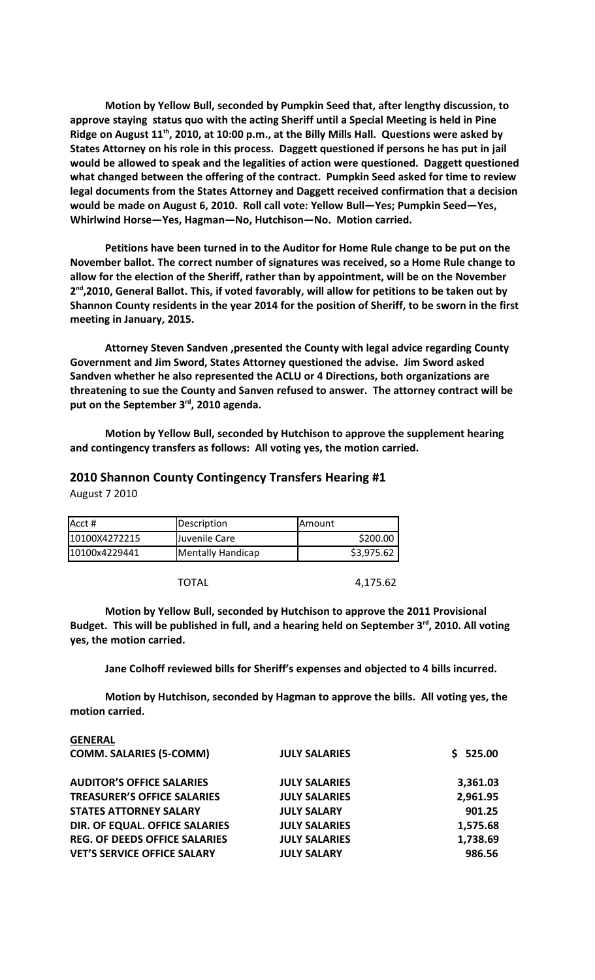**Motion by Yellow Bull, seconded by Pumpkin Seed that, after lengthy discussion, to approve staying status quo with the acting Sheriff until a Special Meeting is held in Pine Ridge on August 11th, 2010, at 10:00 p.m., at the Billy Mills Hall. Questions were asked by States Attorney on his role in this process. Daggett questioned if persons he has put in jail would be allowed to speak and the legalities of action were questioned. Daggett questioned what changed between the offering of the contract. Pumpkin Seed asked for time to review legal documents from the States Attorney and Daggett received confirmation that a decision would be made on August 6, 2010. Roll call vote: Yellow Bull—Yes; Pumpkin Seed—Yes, Whirlwind Horse—Yes, Hagman—No, Hutchison—No. Motion carried.**

**Petitions have been turned in to the Auditor for Home Rule change to be put on the November ballot. The correct number of signatures was received, so a Home Rule change to allow for the election of the Sheriff, rather than by appointment, will be on the November 2 nd,2010, General Ballot. This, if voted favorably, will allow for petitions to be taken out by Shannon County residents in the year 2014 for the position of Sheriff, to be sworn in the first meeting in January, 2015.** 

**Attorney Steven Sandven ,presented the County with legal advice regarding County Government and Jim Sword, States Attorney questioned the advise. Jim Sword asked Sandven whether he also represented the ACLU or 4 Directions, both organizations are threatening to sue the County and Sanven refused to answer. The attorney contract will be put on the September 3rd, 2010 agenda.** 

**Motion by Yellow Bull, seconded by Hutchison to approve the supplement hearing and contingency transfers as follows: All voting yes, the motion carried.**

## **2010 Shannon County Contingency Transfers Hearing #1**

August 7 2010

| Acct #        | Description       | <b>IAmount</b> |
|---------------|-------------------|----------------|
| 10100X4272215 | Juvenile Care     | \$200.00       |
| 10100x4229441 | Mentally Handicap | \$3,975.62     |

TOTAL 4,175.62

**Motion by Yellow Bull, seconded by Hutchison to approve the 2011 Provisional Budget. This will be published in full, and a hearing held on September 3rd, 2010. All voting yes, the motion carried.**

**Jane Colhoff reviewed bills for Sheriff's expenses and objected to 4 bills incurred.**

**Motion by Hutchison, seconded by Hagman to approve the bills. All voting yes, the motion carried.**

| <b>GENERAL</b>                       |                      |          |
|--------------------------------------|----------------------|----------|
| <b>COMM. SALARIES (5-COMM)</b>       | <b>JULY SALARIES</b> | \$525.00 |
| <b>AUDITOR'S OFFICE SALARIES</b>     | <b>JULY SALARIES</b> | 3,361.03 |
| <b>TREASURER'S OFFICE SALARIES</b>   | <b>JULY SALARIES</b> | 2,961.95 |
| <b>STATES ATTORNEY SALARY</b>        | <b>JULY SALARY</b>   | 901.25   |
| DIR. OF EQUAL. OFFICE SALARIES       | <b>JULY SALARIES</b> | 1,575.68 |
| <b>REG. OF DEEDS OFFICE SALARIES</b> | <b>JULY SALARIES</b> | 1,738.69 |
| <b>VET'S SERVICE OFFICE SALARY</b>   | <b>JULY SALARY</b>   | 986.56   |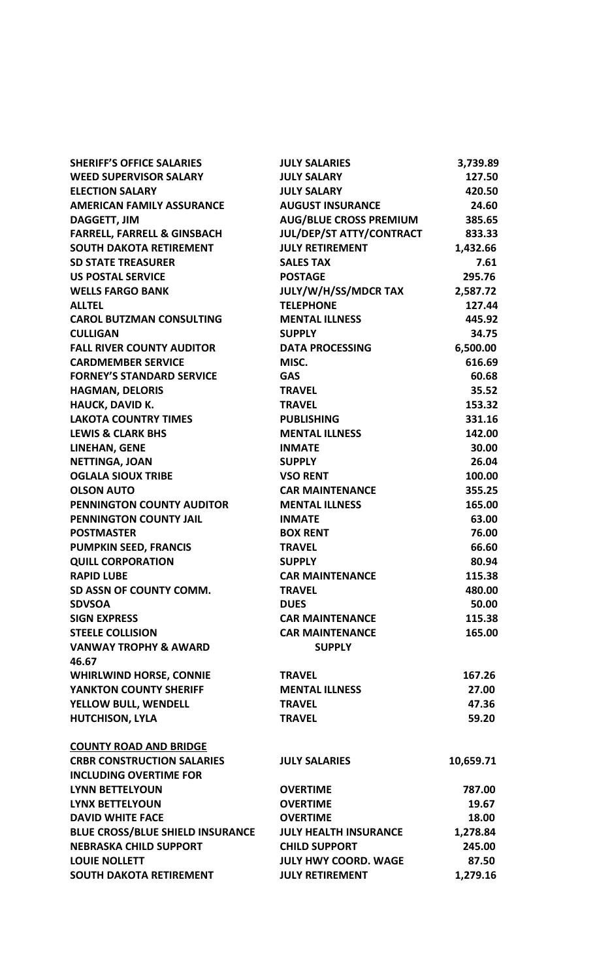| <b>SHERIFF'S OFFICE SALARIES</b>        | <b>JULY SALARIES</b>          | 3,739.89  |
|-----------------------------------------|-------------------------------|-----------|
| <b>WEED SUPERVISOR SALARY</b>           | <b>JULY SALARY</b>            | 127.50    |
| <b>ELECTION SALARY</b>                  | <b>JULY SALARY</b>            | 420.50    |
| <b>AMERICAN FAMILY ASSURANCE</b>        | <b>AUGUST INSURANCE</b>       | 24.60     |
|                                         | <b>AUG/BLUE CROSS PREMIUM</b> | 385.65    |
| <b>DAGGETT, JIM</b>                     |                               |           |
| <b>FARRELL, FARRELL &amp; GINSBACH</b>  | JUL/DEP/ST ATTY/CONTRACT      | 833.33    |
| <b>SOUTH DAKOTA RETIREMENT</b>          | <b>JULY RETIREMENT</b>        | 1,432.66  |
| <b>SD STATE TREASURER</b>               | <b>SALES TAX</b>              | 7.61      |
| <b>US POSTAL SERVICE</b>                | <b>POSTAGE</b>                | 295.76    |
| <b>WELLS FARGO BANK</b>                 | JULY/W/H/SS/MDCR TAX          | 2,587.72  |
| <b>ALLTEL</b>                           | <b>TELEPHONE</b>              | 127.44    |
| <b>CAROL BUTZMAN CONSULTING</b>         | <b>MENTAL ILLNESS</b>         | 445.92    |
| <b>CULLIGAN</b>                         | <b>SUPPLY</b>                 | 34.75     |
| <b>FALL RIVER COUNTY AUDITOR</b>        | <b>DATA PROCESSING</b>        | 6,500.00  |
| <b>CARDMEMBER SERVICE</b>               | MISC.                         | 616.69    |
| <b>FORNEY'S STANDARD SERVICE</b>        | <b>GAS</b>                    | 60.68     |
| <b>HAGMAN, DELORIS</b>                  | <b>TRAVEL</b>                 | 35.52     |
| <b>HAUCK, DAVID K.</b>                  | <b>TRAVEL</b>                 | 153.32    |
| <b>LAKOTA COUNTRY TIMES</b>             | <b>PUBLISHING</b>             | 331.16    |
| <b>LEWIS &amp; CLARK BHS</b>            | <b>MENTAL ILLNESS</b>         | 142.00    |
| LINEHAN, GENE                           | <b>INMATE</b>                 | 30.00     |
| <b>NETTINGA, JOAN</b>                   | <b>SUPPLY</b>                 | 26.04     |
| <b>OGLALA SIOUX TRIBE</b>               | <b>VSO RENT</b>               | 100.00    |
| <b>OLSON AUTO</b>                       | <b>CAR MAINTENANCE</b>        | 355.25    |
| PENNINGTON COUNTY AUDITOR               | <b>MENTAL ILLNESS</b>         | 165.00    |
| PENNINGTON COUNTY JAIL                  | <b>INMATE</b>                 | 63.00     |
| <b>POSTMASTER</b>                       | <b>BOX RENT</b>               | 76.00     |
| <b>PUMPKIN SEED, FRANCIS</b>            | <b>TRAVEL</b>                 | 66.60     |
| <b>QUILL CORPORATION</b>                | <b>SUPPLY</b>                 | 80.94     |
| <b>RAPID LUBE</b>                       | <b>CAR MAINTENANCE</b>        | 115.38    |
| SD ASSN OF COUNTY COMM.                 | <b>TRAVEL</b>                 | 480.00    |
| <b>SDVSOA</b>                           | <b>DUES</b>                   | 50.00     |
| <b>SIGN EXPRESS</b>                     | <b>CAR MAINTENANCE</b>        | 115.38    |
| <b>STEELE COLLISION</b>                 | <b>CAR MAINTENANCE</b>        | 165.00    |
| <b>VANWAY TROPHY &amp; AWARD</b>        | <b>SUPPLY</b>                 |           |
| 46.67                                   |                               |           |
| <b>WHIRLWIND HORSE, CONNIE</b>          | <b>TRAVEL</b>                 | 167.26    |
| YANKTON COUNTY SHERIFF                  | <b>MENTAL ILLNESS</b>         | 27.00     |
| YELLOW BULL, WENDELL                    | <b>TRAVEL</b>                 | 47.36     |
| <b>HUTCHISON, LYLA</b>                  | <b>TRAVEL</b>                 | 59.20     |
|                                         |                               |           |
| <b>COUNTY ROAD AND BRIDGE</b>           |                               |           |
| <b>CRBR CONSTRUCTION SALARIES</b>       | <b>JULY SALARIES</b>          | 10,659.71 |
| <b>INCLUDING OVERTIME FOR</b>           |                               |           |
| <b>LYNN BETTELYOUN</b>                  | <b>OVERTIME</b>               | 787.00    |
| <b>LYNX BETTELYOUN</b>                  | <b>OVERTIME</b>               | 19.67     |
| <b>DAVID WHITE FACE</b>                 | <b>OVERTIME</b>               | 18.00     |
| <b>BLUE CROSS/BLUE SHIELD INSURANCE</b> | <b>JULY HEALTH INSURANCE</b>  | 1,278.84  |
| <b>NEBRASKA CHILD SUPPORT</b>           | <b>CHILD SUPPORT</b>          | 245.00    |
| <b>LOUIE NOLLETT</b>                    | <b>JULY HWY COORD. WAGE</b>   | 87.50     |
|                                         |                               |           |
| <b>SOUTH DAKOTA RETIREMENT</b>          | <b>JULY RETIREMENT</b>        | 1,279.16  |